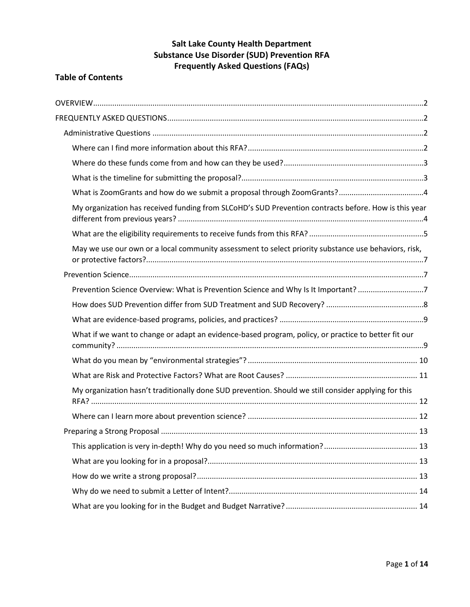## **Salt Lake County Health Department Substance Use Disorder (SUD) Prevention RFA Frequently Asked Questions (FAQs)**

## **Table of Contents**

| My organization has received funding from SLCoHD's SUD Prevention contracts before. How is this year |  |
|------------------------------------------------------------------------------------------------------|--|
|                                                                                                      |  |
| May we use our own or a local community assessment to select priority substance use behaviors, risk, |  |
|                                                                                                      |  |
| Prevention Science Overview: What is Prevention Science and Why Is It Important? 7                   |  |
|                                                                                                      |  |
|                                                                                                      |  |
| What if we want to change or adapt an evidence-based program, policy, or practice to better fit our  |  |
|                                                                                                      |  |
|                                                                                                      |  |
| My organization hasn't traditionally done SUD prevention. Should we still consider applying for this |  |
|                                                                                                      |  |
|                                                                                                      |  |
|                                                                                                      |  |
|                                                                                                      |  |
|                                                                                                      |  |
|                                                                                                      |  |
|                                                                                                      |  |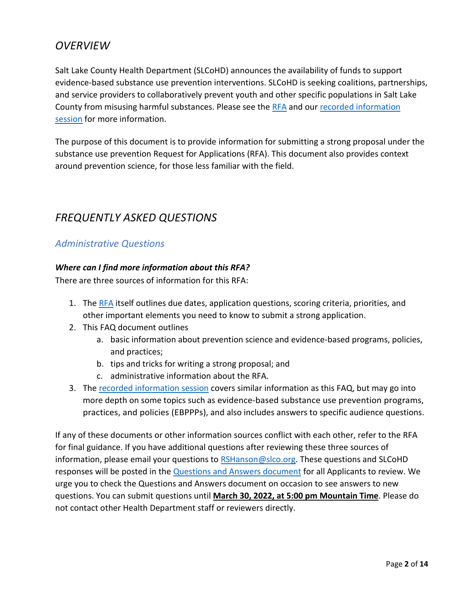# <span id="page-1-0"></span>*OVERVIEW*

Salt Lake County Health Department (SLCoHD) announces the availability of funds to support evidence-based substance use prevention interventions. SLCoHD is seeking coalitions, partnerships, and service providers to collaboratively prevent youth and other specific populations in Salt Lake County from misusing harmful substances. Please see the [RFA](https://www.zoomgrants.com/gprop.asp?donorid=2204&limited=3861) and our [recorded information](https://slco.webex.com/slco/ldr.php?RCID=33769b83e4a4729086204b282d44d173)  [session](https://slco.webex.com/slco/ldr.php?RCID=33769b83e4a4729086204b282d44d173) for more information.

The purpose of this document is to provide information for submitting a strong proposal under the substance use prevention Request for Applications (RFA). This document also provides context around prevention science, for those less familiar with the field.

# <span id="page-1-1"></span>*FREQUENTLY ASKED QUESTIONS*

## <span id="page-1-2"></span>*Administrative Questions*

#### <span id="page-1-3"></span>*Where can I find more information about this RFA?*

There are three sources of information for this RFA:

- 1. The [RFA](https://www.zoomgrants.com/gprop.asp?donorid=2204&limited=3861) itself outlines due dates, application questions, scoring criteria, priorities, and other important elements you need to know to submit a strong application.
- 2. This FAQ document outlines
	- a. basic information about prevention science and evidence-based programs, policies, and practices;
	- b. tips and tricks for writing a strong proposal; and
	- c. administrative information about the RFA.
- 3. The [recorded information session](https://slco.webex.com/recordingservice/sites/slco/recording/cfe224645200103aaef30050568187d8/playback) covers similar information as this FAQ, but may go into more depth on some topics such as evidence-based substance use prevention programs, practices, and policies (EBPPPs), and also includes answers to specific audience questions.

If any of these documents or other information sources conflict with each other, refer to the RFA for final guidance. If you have additional questions after reviewing these three sources of information, please email your questions to [RSHanson@slco.org.](mailto:RSHanson@slco.org) These questions and SLCoHD responses will be posted in the **[Questions and Answers](https://docs.google.com/document/d/1AM-cuhVU7FYr3-DwmMEx4j_QifnCkfxce2I1SbycBaQ/edit?usp=sharing) document** for all Applicants to review. We urge you to check the Questions and Answers document on occasion to see answers to new questions. You can submit questions until **March 30, 2022, at 5:00 pm Mountain Time**. Please do not contact other Health Department staff or reviewers directly.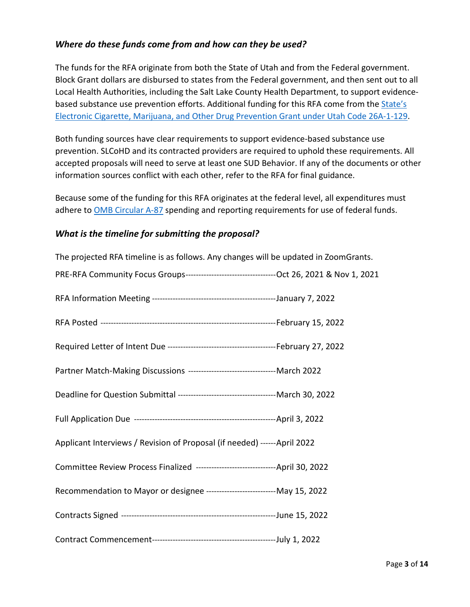## <span id="page-2-0"></span>*Where do these funds come from and how can they be used?*

The funds for the RFA originate from both the State of Utah and from the Federal government. Block Grant dollars are disbursed to states from the Federal government, and then sent out to all Local Health Authorities, including the Salt Lake County Health Department, to support evidencebased substance use prevention efforts. Additional funding for this RFA come from the State's [Electronic Cigarette, Marijuana, and Other Drug Prevention Grant under Utah Code 26A-1-129.](https://le.utah.gov/xcode/Title26A/Chapter1/26A-1-S129.html)

Both funding sources have clear requirements to support evidence-based substance use prevention. SLCoHD and its contracted providers are required to uphold these requirements. All accepted proposals will need to serve at least one SUD Behavior. If any of the documents or other information sources conflict with each other, refer to the RFA for final guidance.

Because some of the funding for this RFA originates at the federal level, all expenditures must adhere to **OMB Circular A-87** spending and reporting requirements for use of federal funds.

### <span id="page-2-1"></span>*What is the timeline for submitting the proposal?*

| The projected RFA timeline is as follows. Any changes will be updated in ZoomGrants. |  |
|--------------------------------------------------------------------------------------|--|
|                                                                                      |  |
|                                                                                      |  |
|                                                                                      |  |
|                                                                                      |  |
| Partner Match-Making Discussions ----------------------------------- March 2022      |  |
|                                                                                      |  |
|                                                                                      |  |
| Applicant Interviews / Revision of Proposal (if needed) ------ April 2022            |  |
| Committee Review Process Finalized ---------------------------------April 30, 2022   |  |
| Recommendation to Mayor or designee ---------------------------- May 15, 2022        |  |
|                                                                                      |  |
|                                                                                      |  |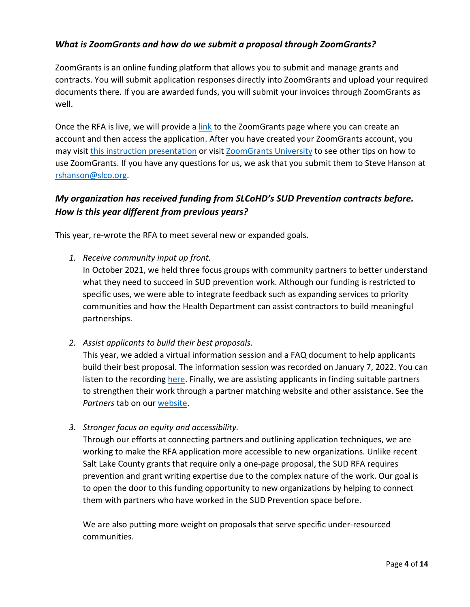## <span id="page-3-0"></span>*What is ZoomGrants and how do we submit a proposal through ZoomGrants?*

ZoomGrants is an online funding platform that allows you to submit and manage grants and contracts. You will submit application responses directly into ZoomGrants and upload your required documents there. If you are awarded funds, you will submit your invoices through ZoomGrants as well.

Once the RFA is live, we will provide [a link](https://www.zoomgrants.com/gprop.asp?donorid=2204&limited=3861) to the ZoomGrants page where you can create an account and then access the application. After you have created your ZoomGrants account, you may visit [this instruction presentation](http://zoomgrants.com/welcome/applicantslideshow.pdf) or visi[t ZoomGrants University](http://help.zoomgrants.com/index.php/article-categories/applicantkbs/) to see other tips on how to use ZoomGrants. If you have any questions for us, we ask that you submit them to Steve Hanson at [rshanson@slco.org.](mailto:rshanson@slco.org)

## <span id="page-3-1"></span>*My organization has received funding from SLCoHD's SUD Prevention contracts before. How is this year different from previous years?*

This year, re-wrote the RFA to meet several new or expanded goals.

*1. Receive community input up front.*

In October 2021, we held three focus groups with community partners to better understand what they need to succeed in SUD prevention work. Although our funding is restricted to specific uses, we were able to integrate feedback such as expanding services to priority communities and how the Health Department can assist contractors to build meaningful partnerships.

*2. Assist applicants to build their best proposals.*

This year, we added a virtual information session and a FAQ document to help applicants build their best proposal. The information session was recorded on January 7, 2022. You can listen to the recordin[g here.](https://slco.webex.com/recordingservice/sites/slco/recording/cfe224645200103aaef30050568187d8/playback) Finally, we are assisting applicants in finding suitable partners to strengthen their work through a partner matching website and other assistance. See the *Partners* tab on our [website.](https://slco.org/health/substance-use-prevention/)

*3. Stronger focus on equity and accessibility.*

Through our efforts at connecting partners and outlining application techniques, we are working to make the RFA application more accessible to new organizations. Unlike recent Salt Lake County grants that require only a one-page proposal, the SUD RFA requires prevention and grant writing expertise due to the complex nature of the work. Our goal is to open the door to this funding opportunity to new organizations by helping to connect them with partners who have worked in the SUD Prevention space before.

We are also putting more weight on proposals that serve specific under-resourced communities.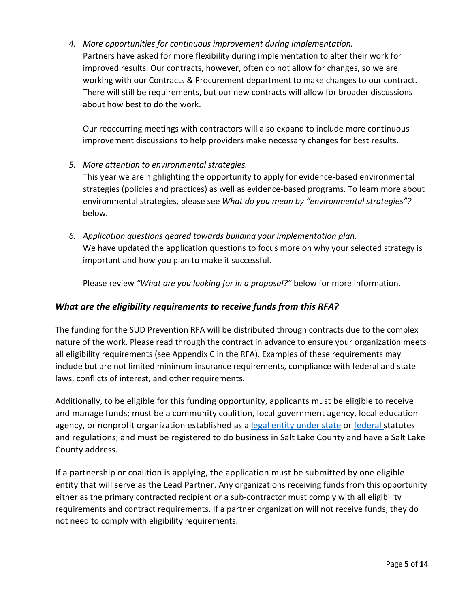*4. More opportunities for continuous improvement during implementation.* Partners have asked for more flexibility during implementation to alter their work for improved results. Our contracts, however, often do not allow for changes, so we are working with our Contracts & Procurement department to make changes to our contract. There will still be requirements, but our new contracts will allow for broader discussions about how best to do the work.

Our reoccurring meetings with contractors will also expand to include more continuous improvement discussions to help providers make necessary changes for best results.

*5. More attention to environmental strategies.*

This year we are highlighting the opportunity to apply for evidence-based environmental strategies (policies and practices) as well as evidence-based programs. To learn more about environmental strategies, please see *What do you mean by "environmental strategies"?* below*.*

*6. Application questions geared towards building your implementation plan.* We have updated the application questions to focus more on why your selected strategy is important and how you plan to make it successful.

Please review *"What are you looking for in a proposal?"* below for more information.

## <span id="page-4-0"></span>*What are the eligibility requirements to receive funds from this RFA?*

The funding for the SUD Prevention RFA will be distributed through contracts due to the complex nature of the work. Please read through the contract in advance to ensure your organization meets all eligibility requirements (see Appendix C in the RFA). Examples of these requirements may include but are not limited minimum insurance requirements, compliance with federal and state laws, conflicts of interest, and other requirements.

Additionally, to be eligible for this funding opportunity, applicants must be eligible to receive and manage funds; must be a community coalition, local government agency, local education agency, or nonprofit organization established as a [legal entity under state](https://secure.utah.gov/bes/) or [federal s](https://www.irs.gov/charities-non-profits/tax-exempt-organization-search)tatutes and regulations; and must be registered to do business in Salt Lake County and have a Salt Lake County address.

If a partnership or coalition is applying, the application must be submitted by one eligible entity that will serve as the Lead Partner. Any organizations receiving funds from this opportunity either as the primary contracted recipient or a sub-contractor must comply with all eligibility requirements and contract requirements. If a partner organization will not receive funds, they do not need to comply with eligibility requirements.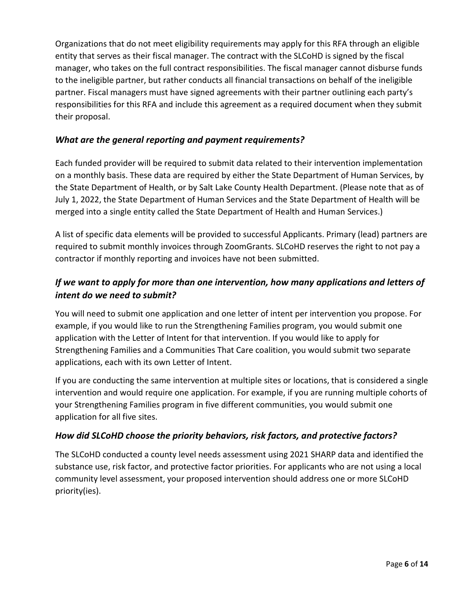Organizations that do not meet eligibility requirements may apply for this RFA through an eligible entity that serves as their fiscal manager. The contract with the SLCoHD is signed by the fiscal manager, who takes on the full contract responsibilities. The fiscal manager cannot disburse funds to the ineligible partner, but rather conducts all financial transactions on behalf of the ineligible partner. Fiscal managers must have signed agreements with their partner outlining each party's responsibilities for this RFA and include this agreement as a required document when they submit their proposal.

### *What are the general reporting and payment requirements?*

Each funded provider will be required to submit data related to their intervention implementation on a monthly basis. These data are required by either the State Department of Human Services, by the State Department of Health, or by Salt Lake County Health Department. (Please note that as of July 1, 2022, the State Department of Human Services and the State Department of Health will be merged into a single entity called the State Department of Health and Human Services.)

A list of specific data elements will be provided to successful Applicants. Primary (lead) partners are required to submit monthly invoices through ZoomGrants. SLCoHD reserves the right to not pay a contractor if monthly reporting and invoices have not been submitted.

## *If we want to apply for more than one intervention, how many applications and letters of intent do we need to submit?*

You will need to submit one application and one letter of intent per intervention you propose. For example, if you would like to run the Strengthening Families program, you would submit one application with the Letter of Intent for that intervention. If you would like to apply for Strengthening Families and a Communities That Care coalition, you would submit two separate applications, each with its own Letter of Intent.

If you are conducting the same intervention at multiple sites or locations, that is considered a single intervention and would require one application. For example, if you are running multiple cohorts of your Strengthening Families program in five different communities, you would submit one application for all five sites.

## *How did SLCoHD choose the priority behaviors, risk factors, and protective factors?*

The SLCoHD conducted a county level needs assessment using 2021 SHARP data and identified the substance use, risk factor, and protective factor priorities. For applicants who are not using a local community level assessment, your proposed intervention should address one or more SLCoHD priority(ies).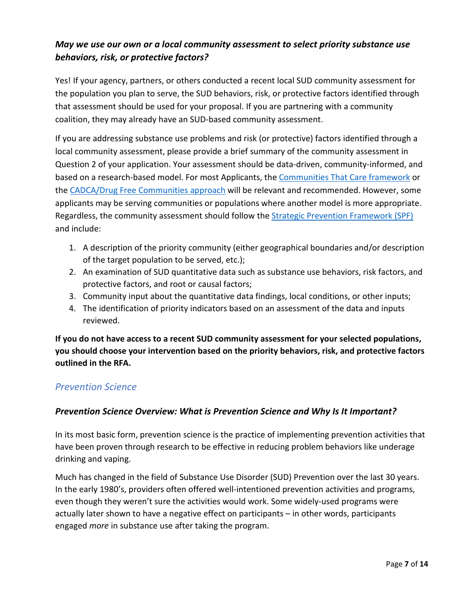## <span id="page-6-0"></span>*May we use our own or a local community assessment to select priority substance use behaviors, risk, or protective factors?*

Yes! If your agency, partners, or others conducted a recent local SUD community assessment for the population you plan to serve, the SUD behaviors, risk, or protective factors identified through that assessment should be used for your proposal. If you are partnering with a community coalition, they may already have an SUD-based community assessment.

If you are addressing substance use problems and risk (or protective) factors identified through a local community assessment, please provide a brief summary of the community assessment in Question 2 of your application. Your assessment should be data-driven, community-informed, and based on a research-based model. For most Applicants, the [Communities That Care framework](https://www.communitiesthatcare.net/programs/ctc-plus/) or the [CADCA/Drug Free Communities approach](https://www.cadca.org/sites/default/files/resource/files/community_assessment.pdf) will be relevant and recommended. However, some applicants may be serving communities or populations where another model is more appropriate. Regardless, the community assessment should follow the [Strategic Prevention Framework \(SPF\)](https://www.samhsa.gov/sites/default/files/20190620-samhsa-strategic-prevention-framework-guide.pdf) and include:

- 1. A description of the priority community (either geographical boundaries and/or description of the target population to be served, etc.);
- 2. An examination of SUD quantitative data such as substance use behaviors, risk factors, and protective factors, and root or causal factors;
- 3. Community input about the quantitative data findings, local conditions, or other inputs;
- 4. The identification of priority indicators based on an assessment of the data and inputs reviewed.

**If you do not have access to a recent SUD community assessment for your selected populations, you should choose your intervention based on the priority behaviors, risk, and protective factors outlined in the RFA.**

## <span id="page-6-1"></span>*Prevention Science*

### <span id="page-6-2"></span>*Prevention Science Overview: What is Prevention Science and Why Is It Important?*

In its most basic form, prevention science is the practice of implementing prevention activities that have been proven through research to be effective in reducing problem behaviors like underage drinking and vaping.

Much has changed in the field of Substance Use Disorder (SUD) Prevention over the last 30 years. In the early 1980's, providers often offered well-intentioned prevention activities and programs, even though they weren't sure the activities would work. Some widely-used programs were actually later shown to have a negative effect on participants – in other words, participants engaged *more* in substance use after taking the program.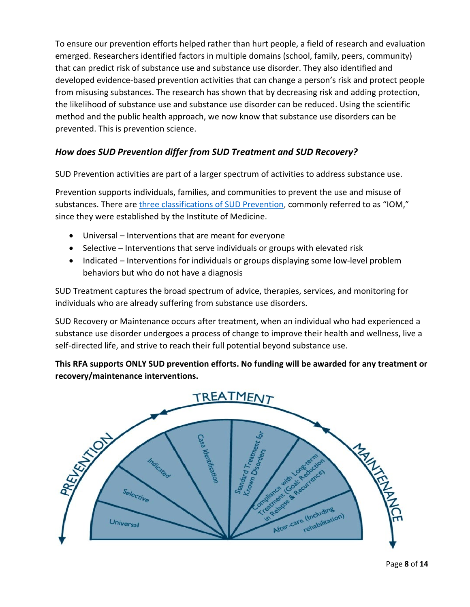To ensure our prevention efforts helped rather than hurt people, a field of research and evaluation emerged. Researchers identified factors in multiple domains (school, family, peers, community) that can predict risk of substance use and substance use disorder. They also identified and developed evidence-based prevention activities that can change a person's risk and protect people from misusing substances. The research has shown that by decreasing risk and adding protection, the likelihood of substance use and substance use disorder can be reduced. Using the scientific method and the public health approach, we now know that substance use disorders can be prevented. This is prevention science.

## <span id="page-7-0"></span>*How does SUD Prevention differ from SUD Treatment and SUD Recovery?*

SUD Prevention activities are part of a larger spectrum of activities to address substance use.

Prevention supports individuals, families, and communities to prevent the use and misuse of substances. There are *three classifications of SUD Prevention*, commonly referred to as "IOM," since they were established by the Institute of Medicine.

- Universal Interventions that are meant for everyone
- Selective Interventions that serve individuals or groups with elevated risk
- Indicated Interventions for individuals or groups displaying some low-level problem behaviors but who do not have a diagnosis

SUD Treatment captures the broad spectrum of advice, therapies, services, and monitoring for individuals who are already suffering from substance use disorders.

SUD Recovery or Maintenance occurs after treatment, when an individual who had experienced a substance use disorder undergoes a process of change to improve their health and wellness, live a self-directed life, and strive to reach their full potential beyond substance use.

**This RFA supports ONLY SUD prevention efforts. No funding will be awarded for any treatment or recovery/maintenance interventions.**

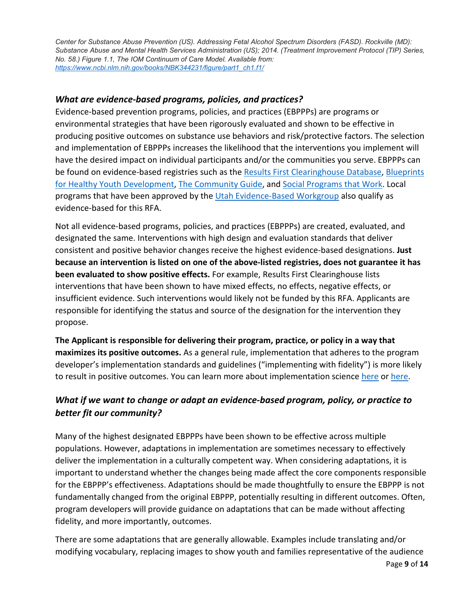*Center for Substance Abuse Prevention (US). Addressing Fetal Alcohol Spectrum Disorders (FASD). Rockville (MD): Substance Abuse and Mental Health Services Administration (US); 2014. (Treatment Improvement Protocol (TIP) Series, No. 58.) Figure 1.1, The IOM Continuum of Care Model. Available from: [https://www.ncbi.nlm.nih.gov/books/NBK344231/figure/part1\\_ch1.f1/](https://www.ncbi.nlm.nih.gov/books/NBK344231/figure/part1_ch1.f1/)*

## <span id="page-8-0"></span>*What are evidence-based programs, policies, and practices?*

Evidence-based prevention programs, policies, and practices (EBPPPs) are programs or environmental strategies that have been rigorously evaluated and shown to be effective in producing positive outcomes on substance use behaviors and risk/protective factors. The selection and implementation of EBPPPs increases the likelihood that the interventions you implement will have the desired impact on individual participants and/or the communities you serve. EBPPPs can be found on evidence-based registries such as the [Results First Clearinghouse Database,](https://www.pewtrusts.org/en/research-and-analysis/data-visualizations/2015/results-first-clearinghouse-database) [Blueprints](https://www.blueprintsprograms.org/)  [for Healthy Youth Development,](https://www.blueprintsprograms.org/) [The Community Guide,](https://www.thecommunityguide.org/) and [Social Programs that Work.](https://evidencebasedprograms.org/) Local programs that have been approved by the [Utah Evidence-Based Workgroup](https://dsamh.utah.gov/implement-an-evidence-based-program#:%7E:text=The%20Utah%20Evidence%2DBased%20Workgroup,fields%20of%20prevention%20and%20evaluation.) also qualify as evidence-based for this RFA.

Not all evidence-based programs, policies, and practices (EBPPPs) are created, evaluated, and designated the same. Interventions with high design and evaluation standards that deliver consistent and positive behavior changes receive the highest evidence-based designations. **Just because an intervention is listed on one of the above-listed registries, does not guarantee it has been evaluated to show positive effects.** For example, Results First Clearinghouse lists interventions that have been shown to have mixed effects, no effects, negative effects, or insufficient evidence. Such interventions would likely not be funded by this RFA. Applicants are responsible for identifying the status and source of the designation for the intervention they propose.

**The Applicant is responsible for delivering their program, practice, or policy in a way that maximizes its positive outcomes.** As a general rule, implementation that adheres to the program developer's implementation standards and guidelines ("implementing with fidelity") is more likely to result in positive outcomes. You can learn more about implementation science [here](https://impsciuw.org/implementation-science/learn/implementation-science-overview/) or [here.](https://www.aecf.org/blog/what-is-implementation-science)

## <span id="page-8-1"></span>*What if we want to change or adapt an evidence-based program, policy, or practice to better fit our community?*

Many of the highest designated EBPPPs have been shown to be effective across multiple populations. However, adaptations in implementation are sometimes necessary to effectively deliver the implementation in a culturally competent way. When considering adaptations, it is important to understand whether the changes being made affect the core components responsible for the EBPPP's effectiveness. Adaptations should be made thoughtfully to ensure the EBPPP is not fundamentally changed from the original EBPPP, potentially resulting in different outcomes. Often, program developers will provide guidance on adaptations that can be made without affecting fidelity, and more importantly, outcomes.

There are some adaptations that are generally allowable. Examples include translating and/or modifying vocabulary, replacing images to show youth and families representative of the audience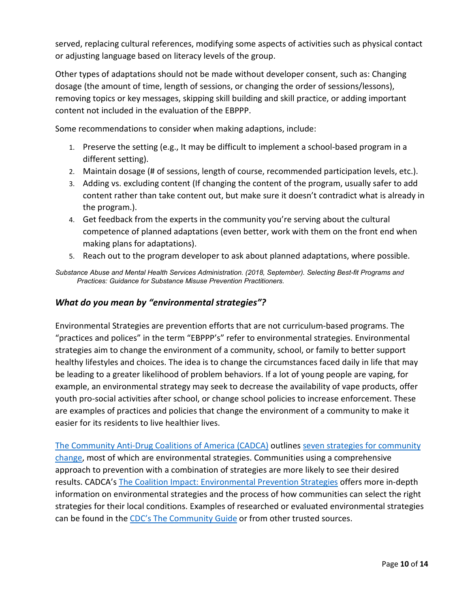served, replacing cultural references, modifying some aspects of activities such as physical contact or adjusting language based on literacy levels of the group.

Other types of adaptations should not be made without developer consent, such as: Changing dosage (the amount of time, length of sessions, or changing the order of sessions/lessons), removing topics or key messages, skipping skill building and skill practice, or adding important content not included in the evaluation of the EBPPP.

Some recommendations to consider when making adaptions, include:

- 1. Preserve the setting (e.g., It may be difficult to implement a school-based program in a different setting).
- 2. Maintain dosage (# of sessions, length of course, recommended participation levels, etc.).
- 3. Adding vs. excluding content (If changing the content of the program, usually safer to add content rather than take content out, but make sure it doesn't contradict what is already in the program.).
- 4. Get feedback from the experts in the community you're serving about the cultural competence of planned adaptations (even better, work with them on the front end when making plans for adaptations).
- 5. Reach out to the program developer to ask about planned adaptations, where possible.

*Substance Abuse and Mental Health Services Administration. (2018, September). Selecting Best-fit Programs and Practices: Guidance for Substance Misuse Prevention Practitioners.*

### <span id="page-9-0"></span>*What do you mean by "environmental strategies"?*

Environmental Strategies are prevention efforts that are not curriculum-based programs. The "practices and polices" in the term "EBPPP's" refer to environmental strategies. Environmental strategies aim to change the environment of a community, school, or family to better support healthy lifestyles and choices. The idea is to change the circumstances faced daily in life that may be leading to a greater likelihood of problem behaviors. If a lot of young people are vaping, for example, an environmental strategy may seek to decrease the availability of vape products, offer youth pro-social activities after school, or change school policies to increase enforcement. These are examples of practices and policies that change the environment of a community to make it easier for its residents to live healthier lives.

[The Community Anti-Drug Coalitions of A](https://cadca.org/)merica (CADCA) outlines [seven strategies for community](https://www.cadca.org/sites/default/files/files/spfandenvironmentalstrategies.pdf)  [change,](https://www.cadca.org/sites/default/files/files/spfandenvironmentalstrategies.pdf) most of which are environmental strategies. Communities using a comprehensive approach to prevention with a combination of strategies are more likely to see their desired results. CADCA's [The Coalition Impact: Environmental Prevention Strategies](https://www.cadca.org/sites/default/files/resource/files/environmentalstrategies.pdf) offers more in-depth information on environmental strategies and the process of how communities can select the right strategies for their local conditions. Examples of researched or evaluated environmental strategies can be found in the [CDC's The Community Guide](https://www.thecommunityguide.org/) or from other trusted sources.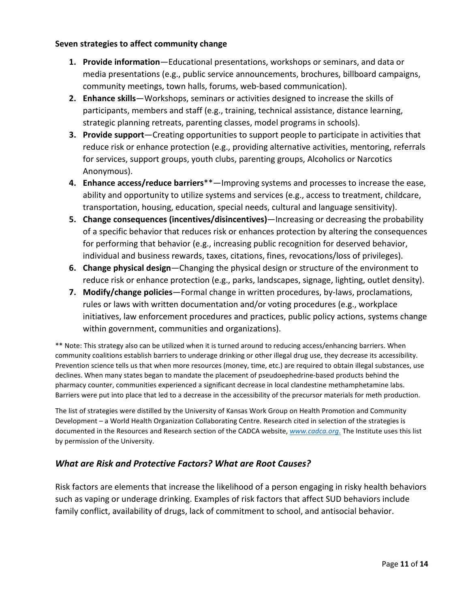#### **Seven strategies to affect community change**

- **1. Provide information**—Educational presentations, workshops or seminars, and data or media presentations (e.g., public service announcements, brochures, billboard campaigns, community meetings, town halls, forums, web-based communication).
- **2. Enhance skills**—Workshops, seminars or activities designed to increase the skills of participants, members and staff (e.g., training, technical assistance, distance learning, strategic planning retreats, parenting classes, model programs in schools).
- **3. Provide support**—Creating opportunities to support people to participate in activities that reduce risk or enhance protection (e.g., providing alternative activities, mentoring, referrals for services, support groups, youth clubs, parenting groups, Alcoholics or Narcotics Anonymous).
- **4. Enhance access/reduce barriers**\*\*—Improving systems and processes to increase the ease, ability and opportunity to utilize systems and services (e.g., access to treatment, childcare, transportation, housing, education, special needs, cultural and language sensitivity).
- **5. Change consequences (incentives/disincentives)**—Increasing or decreasing the probability of a specific behavior that reduces risk or enhances protection by altering the consequences for performing that behavior (e.g., increasing public recognition for deserved behavior, individual and business rewards, taxes, citations, fines, revocations/loss of privileges).
- **6. Change physical design**—Changing the physical design or structure of the environment to reduce risk or enhance protection (e.g., parks, landscapes, signage, lighting, outlet density).
- **7. Modify/change policies**—Formal change in written procedures, by-laws, proclamations, rules or laws with written documentation and/or voting procedures (e.g., workplace initiatives, law enforcement procedures and practices, public policy actions, systems change within government, communities and organizations).

\*\* Note: This strategy also can be utilized when it is turned around to reducing access/enhancing barriers. When community coalitions establish barriers to underage drinking or other illegal drug use, they decrease its accessibility. Prevention science tells us that when more resources (money, time, etc.) are required to obtain illegal substances, use declines. When many states began to mandate the placement of pseudoephedrine-based products behind the pharmacy counter, communities experienced a significant decrease in local clandestine methamphetamine labs. Barriers were put into place that led to a decrease in the accessibility of the precursor materials for meth production.

The list of strategies were distilled by the University of Kansas Work Group on Health Promotion and Community Development – a World Health Organization Collaborating Centre. Research cited in selection of the strategies is documented in the Resources and Research section of the CADCA website, *[www.cadca.org](http://www.cadca.org/)*. The Institute uses this list by permission of the University.

### <span id="page-10-0"></span>*What are Risk and Protective Factors? What are Root Causes?*

Risk factors are elements that increase the likelihood of a person engaging in risky health behaviors such as vaping or underage drinking. Examples of risk factors that affect SUD behaviors include family conflict, availability of drugs, lack of commitment to school, and antisocial behavior.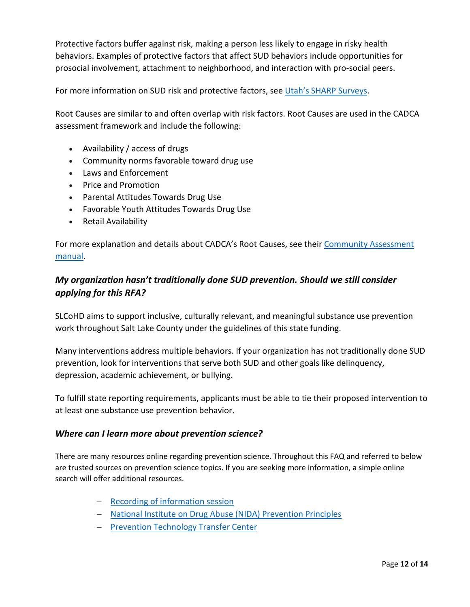Protective factors buffer against risk, making a person less likely to engage in risky health behaviors. Examples of protective factors that affect SUD behaviors include opportunities for prosocial involvement, attachment to neighborhood, and interaction with pro-social peers.

For more information on SUD risk and protective factors, see [Utah's SHARP Surveys.](https://dsamh.utah.gov/sharp-survey)

Root Causes are similar to and often overlap with risk factors. Root Causes are used in the CADCA assessment framework and include the following:

- Availability / access of drugs
- Community norms favorable toward drug use
- Laws and Enforcement
- Price and Promotion
- Parental Attitudes Towards Drug Use
- Favorable Youth Attitudes Towards Drug Use
- Retail Availability

For more explanation and details about CADCA's Root Causes, see their Community Assessment [manual.](https://www.cadca.org/sites/default/files/resource/files/community_assessment.pdf)

## <span id="page-11-0"></span>*My organization hasn't traditionally done SUD prevention. Should we still consider applying for this RFA?*

SLCoHD aims to support inclusive, culturally relevant, and meaningful substance use prevention work throughout Salt Lake County under the guidelines of this state funding.

Many interventions address multiple behaviors. If your organization has not traditionally done SUD prevention, look for interventions that serve both SUD and other goals like delinquency, depression, academic achievement, or bullying.

To fulfill state reporting requirements, applicants must be able to tie their proposed intervention to at least one substance use prevention behavior.

#### <span id="page-11-1"></span>*Where can I learn more about prevention science?*

There are many resources online regarding prevention science. Throughout this FAQ and referred to below are trusted sources on prevention science topics. If you are seeking more information, a simple online search will offer additional resources.

- − [Recording of information session](https://slco.webex.com/recordingservice/sites/slco/recording/cfe224645200103aaef30050568187d8/playback)
- − [National Institute on Drug Abuse \(NIDA\) Prevention Principles](http://www.drugabuse.gov/publications/preventing-drug-use-among-children-adolescents/prevention-principles)
- − [Prevention Technology Transfer Center](https://pttcnetwork.org/)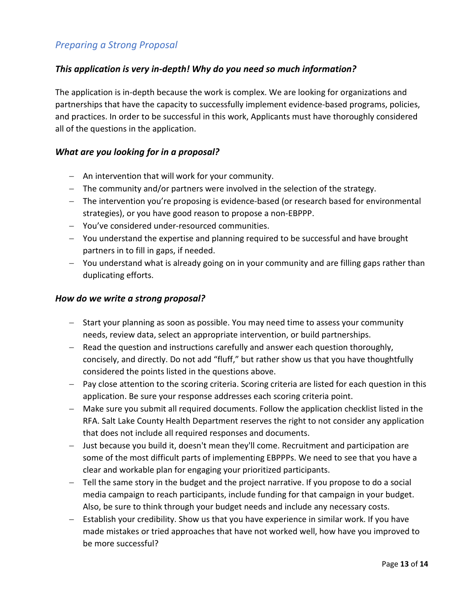## <span id="page-12-0"></span>*Preparing a Strong Proposal*

#### <span id="page-12-1"></span>*This application is very in-depth! Why do you need so much information?*

The application is in-depth because the work is complex. We are looking for organizations and partnerships that have the capacity to successfully implement evidence-based programs, policies, and practices. In order to be successful in this work, Applicants must have thoroughly considered all of the questions in the application.

#### <span id="page-12-2"></span>*What are you looking for in a proposal?*

- − An intervention that will work for your community.
- − The community and/or partners were involved in the selection of the strategy.
- − The intervention you're proposing is evidence-based (or research based for environmental strategies), or you have good reason to propose a non-EBPPP.
- − You've considered under-resourced communities.
- − You understand the expertise and planning required to be successful and have brought partners in to fill in gaps, if needed.
- − You understand what is already going on in your community and are filling gaps rather than duplicating efforts.

#### <span id="page-12-3"></span>*How do we write a strong proposal?*

- − Start your planning as soon as possible. You may need time to assess your community needs, review data, select an appropriate intervention, or build partnerships.
- − Read the question and instructions carefully and answer each question thoroughly, concisely, and directly. Do not add "fluff," but rather show us that you have thoughtfully considered the points listed in the questions above.
- − Pay close attention to the scoring criteria. Scoring criteria are listed for each question in this application. Be sure your response addresses each scoring criteria point.
- − Make sure you submit all required documents. Follow the application checklist listed in the RFA. Salt Lake County Health Department reserves the right to not consider any application that does not include all required responses and documents.
- − Just because you build it, doesn't mean they'll come. Recruitment and participation are some of the most difficult parts of implementing EBPPPs. We need to see that you have a clear and workable plan for engaging your prioritized participants.
- − Tell the same story in the budget and the project narrative. If you propose to do a social media campaign to reach participants, include funding for that campaign in your budget. Also, be sure to think through your budget needs and include any necessary costs.
- − Establish your credibility. Show us that you have experience in similar work. If you have made mistakes or tried approaches that have not worked well, how have you improved to be more successful?